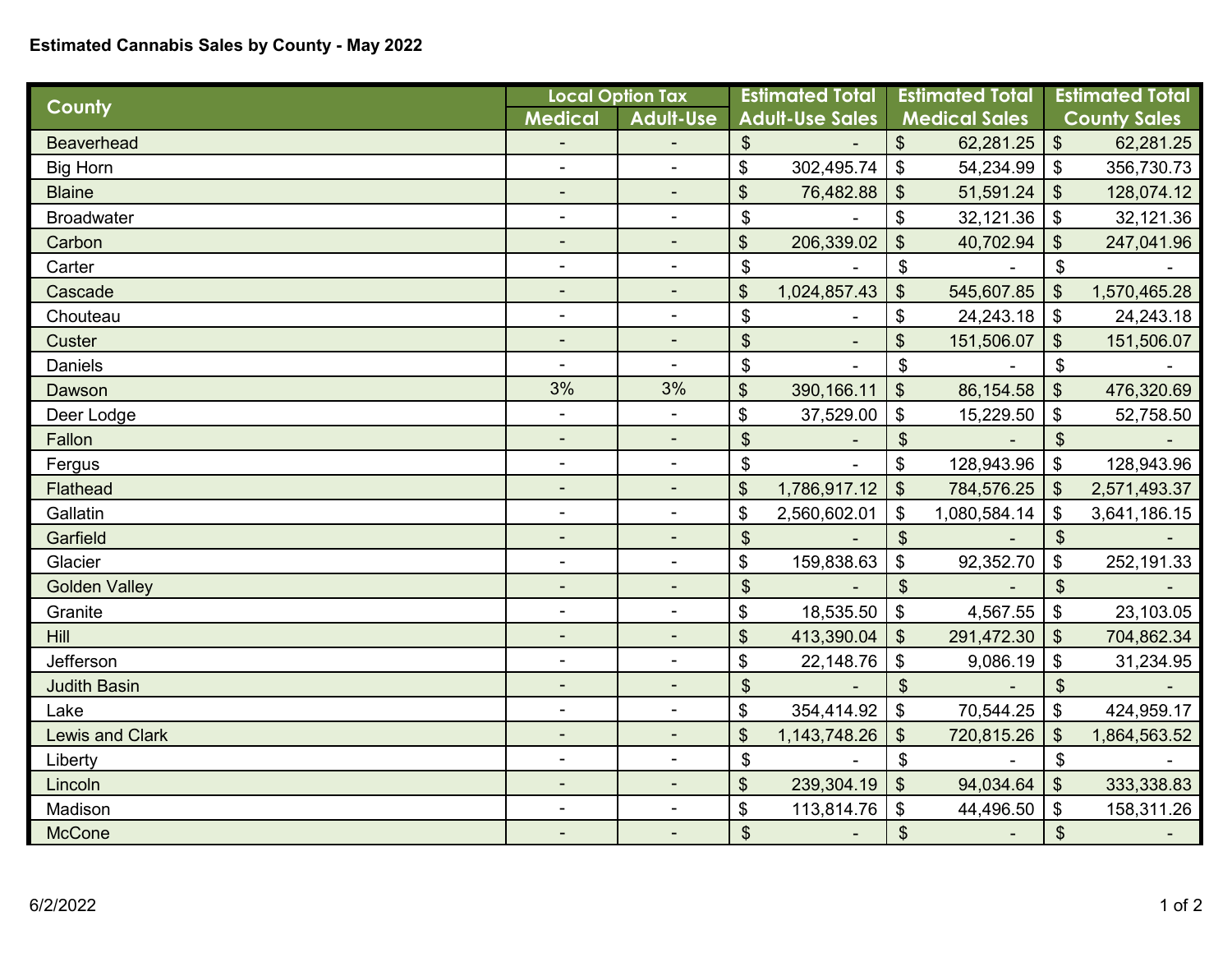## **Estimated Cannabis Sales by County - May 2022**

| County                 | <b>Local Option Tax</b>      |                          | <b>Estimated Total</b>     |                 | <b>Estimated Total</b>     |              | <b>Estimated Total</b>     |              |
|------------------------|------------------------------|--------------------------|----------------------------|-----------------|----------------------------|--------------|----------------------------|--------------|
|                        | <b>Medical</b>               | <b>Adult-Use</b>         | <b>Adult-Use Sales</b>     |                 | <b>Medical Sales</b>       |              | <b>County Sales</b>        |              |
| <b>Beaverhead</b>      |                              |                          | $\mathfrak{S}$             |                 | \$                         | 62,281.25    | $\boldsymbol{\mathsf{S}}$  | 62,281.25    |
| <b>Big Horn</b>        | $\blacksquare$               |                          | \$                         | 302,495.74      | $\boldsymbol{\mathsf{\$}}$ | 54,234.99    | \$                         | 356,730.73   |
| <b>Blaine</b>          | $\overline{\phantom{a}}$     | $\blacksquare$           | \$                         | 76,482.88       | $\boldsymbol{\mathsf{S}}$  | 51,591.24    | $\boldsymbol{\mathsf{\$}}$ | 128,074.12   |
| <b>Broadwater</b>      | $\overline{\phantom{a}}$     | $\blacksquare$           | $\boldsymbol{\hat{\phi}}$  |                 | \$                         | 32,121.36    | $\boldsymbol{\hat{\phi}}$  | 32,121.36    |
| Carbon                 | $\overline{\phantom{a}}$     | $\blacksquare$           | \$                         | 206,339.02      | \$                         | 40,702.94    | \$                         | 247,041.96   |
| Carter                 | $\blacksquare$               | $\blacksquare$           | \$                         |                 | $\boldsymbol{\mathsf{\$}}$ |              | \$                         |              |
| Cascade                | $\overline{\phantom{a}}$     | $\overline{\phantom{a}}$ | \$                         | 1,024,857.43    | \$                         | 545,607.85   | \$                         | 1,570,465.28 |
| Chouteau               | $\overline{\phantom{a}}$     | ÷,                       | $\boldsymbol{\mathsf{S}}$  |                 | \$                         | 24,243.18    | $\boldsymbol{\mathsf{S}}$  | 24,243.18    |
| <b>Custer</b>          | $\overline{\phantom{a}}$     |                          | $\boldsymbol{\mathsf{S}}$  | ٠               | \$                         | 151,506.07   | $\boldsymbol{\mathsf{S}}$  | 151,506.07   |
| <b>Daniels</b>         | $\blacksquare$               | $\blacksquare$           | \$                         |                 | $\boldsymbol{\mathsf{S}}$  |              | \$                         |              |
| Dawson                 | 3%                           | 3%                       | \$                         | 390, 166.11     | $\boldsymbol{\mathsf{S}}$  | 86,154.58    | $\boldsymbol{\mathsf{S}}$  | 476,320.69   |
| Deer Lodge             | $\frac{1}{2}$                | $\blacksquare$           | \$                         | 37,529.00       | $\boldsymbol{\mathsf{\$}}$ | 15,229.50    | \$                         | 52,758.50    |
| Fallon                 | ٠                            |                          | \$                         |                 | $\boldsymbol{\mathsf{S}}$  |              | $\boldsymbol{\mathsf{S}}$  |              |
| Fergus                 | $\frac{1}{2}$                | $\blacksquare$           | $\mathfrak{S}$             |                 | \$                         | 128,943.96   | \$                         | 128,943.96   |
| Flathead               | ٠                            | $\blacksquare$           | \$                         | 1,786,917.12    | $\boldsymbol{\mathsf{S}}$  | 784,576.25   | $\boldsymbol{\mathsf{S}}$  | 2,571,493.37 |
| Gallatin               | $\blacksquare$               | $\blacksquare$           | \$                         | 2,560,602.01    | \$                         | 1,080,584.14 | \$                         | 3,641,186.15 |
| Garfield               | $\blacksquare$               | $\blacksquare$           | $\boldsymbol{\mathsf{S}}$  |                 | $\boldsymbol{\mathsf{S}}$  |              | $\boldsymbol{\mathsf{S}}$  |              |
| Glacier                | $\blacksquare$               | $\blacksquare$           | \$                         | 159,838.63      | \$                         | 92,352.70    | $\boldsymbol{\mathsf{\$}}$ | 252,191.33   |
| <b>Golden Valley</b>   | $\blacksquare$               | $\overline{a}$           | \$                         |                 | $\boldsymbol{\mathsf{S}}$  |              | $\boldsymbol{\mathsf{S}}$  |              |
| Granite                | $\overline{\phantom{a}}$     | $\blacksquare$           | \$                         | 18,535.50       | $\boldsymbol{\mathsf{\$}}$ | 4,567.55     | \$                         | 23,103.05    |
| <b>Hill</b>            | $\qquad \qquad \blacksquare$ |                          | \$                         | 413,390.04      | $\boldsymbol{\mathsf{S}}$  | 291,472.30   | \$                         | 704,862.34   |
| Jefferson              | $\overline{\phantom{a}}$     | $\blacksquare$           | \$                         | 22,148.76       | $\boldsymbol{\mathsf{S}}$  | 9,086.19     | $\boldsymbol{\hat{\phi}}$  | 31,234.95    |
| <b>Judith Basin</b>    |                              |                          | $\boldsymbol{\mathsf{S}}$  |                 | $\boldsymbol{\mathsf{S}}$  |              | $\boldsymbol{\mathsf{S}}$  |              |
| Lake                   | $\blacksquare$               | $\blacksquare$           | \$                         | 354,414.92      | $\boldsymbol{\mathsf{S}}$  | 70,544.25    | \$                         | 424,959.17   |
| <b>Lewis and Clark</b> | ٠                            |                          | \$                         | 1, 143, 748. 26 | \$                         | 720,815.26   | \$                         | 1,864,563.52 |
| Liberty                | $\blacksquare$               | $\blacksquare$           | $\boldsymbol{\mathsf{\$}}$ |                 | $\boldsymbol{\mathsf{\$}}$ |              | $\mathfrak{S}$             |              |
| Lincoln                | $\overline{\phantom{a}}$     |                          | \$                         | 239,304.19      | $\sqrt[6]{\frac{1}{2}}$    | 94,034.64    | $\frac{1}{2}$              | 333,338.83   |
| Madison                | $\qquad \qquad \blacksquare$ |                          | \$                         | 113,814.76      | $\boldsymbol{\mathsf{\$}}$ | 44,496.50    | $\boldsymbol{\mathsf{\$}}$ | 158,311.26   |
| <b>McCone</b>          |                              | $\blacksquare$           | \$                         |                 | $\boldsymbol{\hat{\phi}}$  |              | \$                         |              |